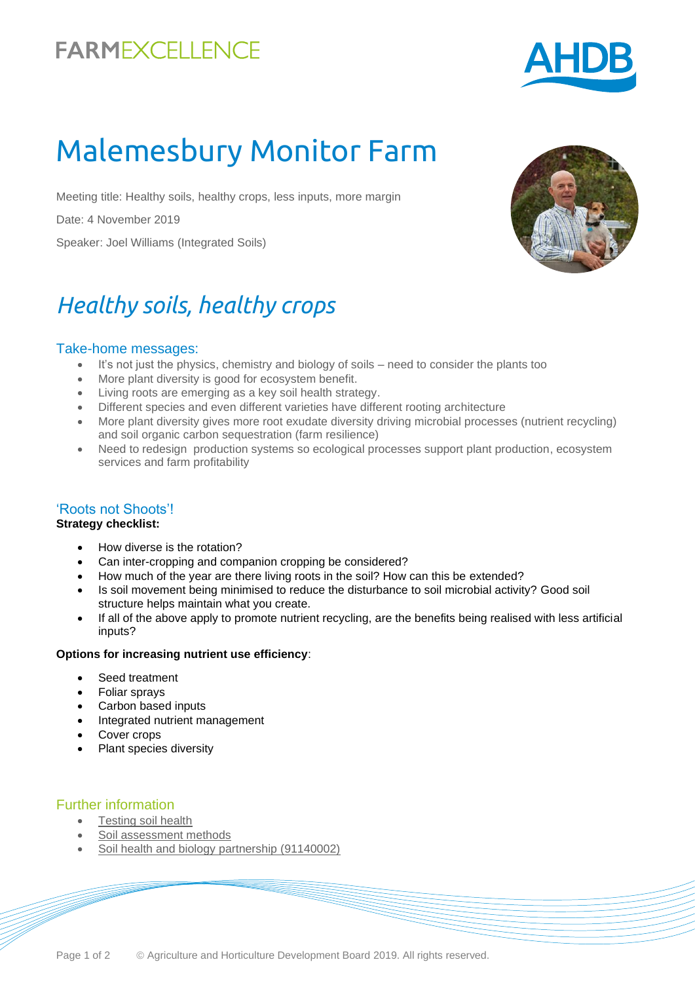## **FARMEXCELLENCE**



# Malemesbury Monitor Farm

Meeting title: Healthy soils, healthy crops, less inputs, more margin

Date: 4 November 2019

Speaker: Joel Williams (Integrated Soils)

## *Healthy soils, healthy crops*

#### Take-home messages:

- It's not just the physics, chemistry and biology of soils need to consider the plants too
- More plant diversity is good for ecosystem benefit.
- Living roots are emerging as a key soil health strategy.
- Different species and even different varieties have different rooting architecture
- More plant diversity gives more root exudate diversity driving microbial processes (nutrient recycling) and soil organic carbon sequestration (farm resilience)
- Need to redesign production systems so ecological processes support plant production, ecosystem services and farm profitability

#### 'Roots not Shoots'!

#### **Strategy checklist:**

- How diverse is the rotation?
- Can inter-cropping and companion cropping be considered?
- How much of the year are there living roots in the soil? How can this be extended?
- Is soil movement being minimised to reduce the disturbance to soil microbial activity? Good soil structure helps maintain what you create.
- If all of the above apply to promote nutrient recycling, are the benefits being realised with less artificial inputs?

#### **Options for increasing nutrient use efficiency**:

- Seed treatment
- Foliar sprays
- Carbon based inputs
- Integrated nutrient management
- Cover crops
- Plant species diversity

#### Further information

- [Testing soil health](https://ahdb.org.uk/knowledge-library/testing-soil-health)
- [Soil assessment methods](https://ahdb.org.uk/knowledge-library/greatsoils-soil-assessment-methods)
- [Soil health and biology partnership](https://cereals.ahdb.org.uk/shp) (91140002)